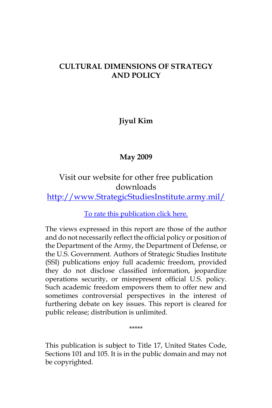### **CULTURAL DIMENSIONS OF STRATEGY AND POLICY**

**Jiyul Kim**

# **May 2009**

Visit our website for other free publication downloads [http://www.StrategicStudiesInstitute.army.mil/](http://www.strategicstudiesinstitute.army.mil)

[To rate this publication click here.](http://www.strategicstudiesinstitute.army.mil/pubs/display.cfm?pubID=919)

The views expressed in this report are those of the author and do not necessarily reflect the official policy or position of the Department of the Army, the Department of Defense, or the U.S. Government. Authors of Strategic Studies Institute (SSI) publications enjoy full academic freedom, provided they do not disclose classified information, jeopardize operations security, or misrepresent official U.S. policy. Such academic freedom empowers them to offer new and sometimes controversial perspectives in the interest of furthering debate on key issues. This report is cleared for public release; distribution is unlimited.

\*\*\*\*\*

This publication is subject to Title 17, United States Code, Sections 101 and 105. It is in the public domain and may not be copyrighted.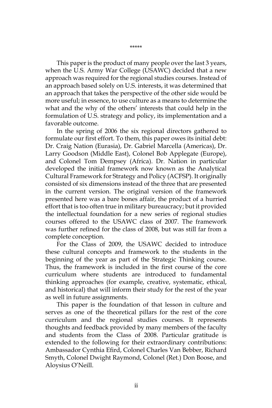This paper is the product of many people over the last 3 years, when the U.S. Army War College (USAWC) decided that a new approach was required for the regional studies courses. Instead of an approach based solely on U.S. interests, it was determined that an approach that takes the perspective of the other side would be more useful; in essence, to use culture as a means to determine the what and the why of the others' interests that could help in the formulation of U.S. strategy and policy, its implementation and a favorable outcome.

In the spring of 2006 the six regional directors gathered to formulate our first effort. To them, this paper owes its initial debt: Dr. Craig Nation (Eurasia), Dr. Gabriel Marcella (Americas), Dr. Larry Goodson (Middle East), Colonel Bob Applegate (Europe), and Colonel Tom Dempsey (Africa). Dr. Nation in particular developed the initial framework now known as the Analytical Cultural Framework for Strategy and Policy (ACFSP). It originally consisted of six dimensions instead of the three that are presented in the current version. The original version of the framework presented here was a bare bones affair, the product of a hurried effort that is too often true in military bureaucracy; but it provided the intellectual foundation for a new series of regional studies courses offered to the USAWC class of 2007. The framework was further refined for the class of 2008, but was still far from a complete conception.

For the Class of 2009, the USAWC decided to introduce these cultural concepts and framework to the students in the beginning of the year as part of the Strategic Thinking course. Thus, the framework is included in the first course of the core curriculum where students are introduced to fundamental thinking approaches (for example, creative, systematic, ethical, and historical) that will inform their study for the rest of the year as well in future assignments.

This paper is the foundation of that lesson in culture and serves as one of the theoretical pillars for the rest of the core curriculum and the regional studies courses. It represents thoughts and feedback provided by many members of the faculty and students from the Class of 2008. Particular gratitude is extended to the following for their extraordinary contributions: Ambassador Cynthia Efird, Colonel Charles Van Bebber, Richard Smyth, Colonel Dwight Raymond, Colonel (Ret.) Don Boose, and Aloysius O'Neill.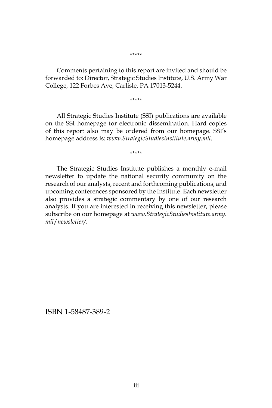#### \*\*\*\*\*

Comments pertaining to this report are invited and should be forwarded to: Director, Strategic Studies Institute, U.S. Army War College, 122 Forbes Ave, Carlisle, PA 17013-5244.

\*\*\*\*\*

All Strategic Studies Institute (SSI) publications are available on the SSI homepage for electronic dissemination. Hard copies of this report also may be ordered from our homepage. SSI's homepage address is: *www.StrategicStudiesInstitute.army.mil*.

\*\*\*\*\*

The Strategic Studies Institute publishes a monthly e-mail newsletter to update the national security community on the research of our analysts, recent and forthcoming publications, and upcoming conferences sponsored by the Institute. Each newsletter also provides a strategic commentary by one of our research analysts. If you are interested in receiving this newsletter, please subscribe on our homepage at *www.StrategicStudiesInstitute.army. mil*/*newsletter/.*

ISBN 1-58487-389-2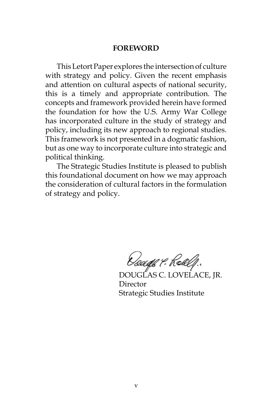#### **FOREWORD**

This Letort Paper explores the intersection of culture with strategy and policy. Given the recent emphasis and attention on cultural aspects of national security, this is a timely and appropriate contribution. The concepts and framework provided herein have formed the foundation for how the U.S. Army War College has incorporated culture in the study of strategy and policy, including its new approach to regional studies. This framework is not presented in a dogmatic fashion, but as one way to incorporate culture into strategic and political thinking.

The Strategic Studies Institute is pleased to publish this foundational document on how we may approach the consideration of cultural factors in the formulation of strategy and policy.

Osaaje 9. Roalf.

DOUGLAS C. LOVELACE, JR. Director Strategic Studies Institute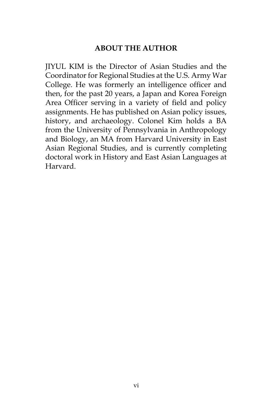### **ABOUT THE AUTHOR**

JIYUL KIM is the Director of Asian Studies and the Coordinator for Regional Studies at the U.S. Army War College. He was formerly an intelligence officer and then, for the past 20 years, a Japan and Korea Foreign Area Officer serving in a variety of field and policy assignments. He has published on Asian policy issues, history, and archaeology. Colonel Kim holds a BA from the University of Pennsylvania in Anthropology and Biology, an MA from Harvard University in East Asian Regional Studies, and is currently completing doctoral work in History and East Asian Languages at Harvard.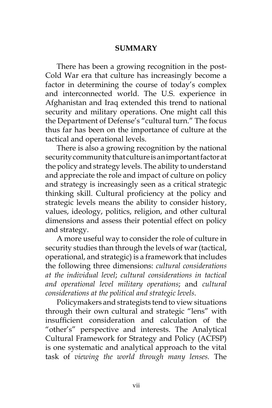### **SUMMARY**

There has been a growing recognition in the post-Cold War era that culture has increasingly become a factor in determining the course of today's complex and interconnected world. The U.S. experience in Afghanistan and Iraq extended this trend to national security and military operations. One might call this the Department of Defense's "cultural turn." The focus thus far has been on the importance of culture at the tactical and operational levels.

There is also a growing recognition by the national security community that culture is an important factor at the policy and strategy levels. The ability to understand and appreciate the role and impact of culture on policy and strategy is increasingly seen as a critical strategic thinking skill. Cultural proficiency at the policy and strategic levels means the ability to consider history, values, ideology, politics, religion, and other cultural dimensions and assess their potential effect on policy and strategy.

A more useful way to consider the role of culture in security studies than through the levels of war (tactical, operational, and strategic) is a framework that includes the following three dimensions: *cultural considerations at the individual level*; *cultural considerations in tactical and operational level military operations*; and *cultural considerations at the political and strategic levels*.

Policymakers and strategists tend to view situations through their own cultural and strategic "lens" with insufficient consideration and calculation of the "other's" perspective and interests. The Analytical Cultural Framework for Strategy and Policy (ACFSP) is one systematic and analytical approach to the vital task of *viewing the world through many lenses.* The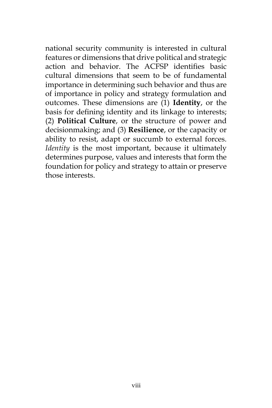national security community is interested in cultural features or dimensions that drive political and strategic action and behavior. The ACFSP identifies basic cultural dimensions that seem to be of fundamental importance in determining such behavior and thus are of importance in policy and strategy formulation and outcomes. These dimensions are (1) **Identity**, or the basis for defining identity and its linkage to interests; (2) **Political Culture**, or the structure of power and decisionmaking; and (3) **Resilience**, or the capacity or ability to resist, adapt or succumb to external forces. *Identity* is the most important, because it ultimately determines purpose, values and interests that form the foundation for policy and strategy to attain or preserve those interests.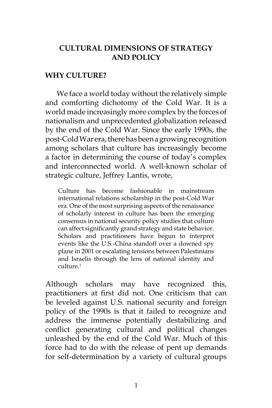### **CULTURAL DIMENSIONS OF STRATEGY AND POLICY**

#### **WHY CULTURE?**

We face a world today without the relatively simple and comforting dichotomy of the Cold War. It is a world made increasingly more complex by the forces of nationalism and unprecedented globalization released by the end of the Cold War. Since the early 1990s, the post-Cold War era, there has been a growing recognition among scholars that culture has increasingly become a factor in determining the course of today's complex and interconnected world. A well-known scholar of strategic culture, Jeffrey Lantis, wrote,

Culture has become fashionable in mainstream international relations scholarship in the post-Cold War era. One of the most surprising aspects of the renaissance of scholarly interest in culture has been the emerging consensus in national security policy studies that culture can affect significantly grand strategy and state behavior. Scholars and practitioners have begun to interpret events like the U.S.-China standoff over a downed spy plane in 2001 or escalating tensions between Palestinians and Israelis through the lens of national identity and culture.1

Although scholars may have recognized this, practitioners at first did not. One criticism that can be leveled against U.S. national security and foreign policy of the 1990s is that it failed to recognize and address the immense potentially destabilizing and conflict generating cultural and political changes unleashed by the end of the Cold War. Much of this force had to do with the release of pent up demands for self-determination by a variety of cultural groups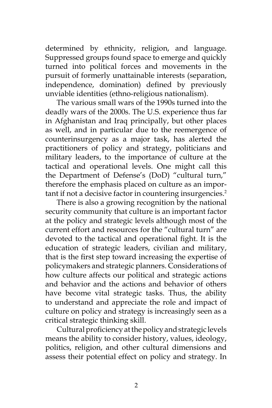determined by ethnicity, religion, and language. Suppressed groups found space to emerge and quickly turned into political forces and movements in the pursuit of formerly unattainable interests (separation, independence, domination) defined by previously unviable identities (ethno-religious nationalism).

The various small wars of the 1990s turned into the deadly wars of the 2000s. The U.S. experience thus far in Afghanistan and Iraq principally, but other places as well, and in particular due to the reemergence of counterinsurgency as a major task, has alerted the practitioners of policy and strategy, politicians and military leaders, to the importance of culture at the tactical and operational levels. One might call this the Department of Defense's (DoD) "cultural turn," therefore the emphasis placed on culture as an important if not a decisive factor in countering insurgencies.<sup>2</sup>

There is also a growing recognition by the national security community that culture is an important factor at the policy and strategic levels although most of the current effort and resources for the "cultural turn" are devoted to the tactical and operational fight. It is the education of strategic leaders, civilian and military, that is the first step toward increasing the expertise of policymakers and strategic planners. Considerations of how culture affects our political and strategic actions and behavior and the actions and behavior of others have become vital strategic tasks. Thus, the ability to understand and appreciate the role and impact of culture on policy and strategy is increasingly seen as a critical strategic thinking skill.

Cultural proficiency at the policy and strategic levels means the ability to consider history, values, ideology, politics, religion, and other cultural dimensions and assess their potential effect on policy and strategy. In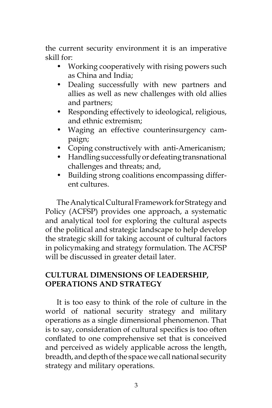the current security environment it is an imperative skill for:

- Working cooperatively with rising powers such as China and India;
- Dealing successfully with new partners and allies as well as new challenges with old allies and partners;
- Responding effectively to ideological, religious, and ethnic extremism;
- Waging an effective counterinsurgency campaign;
- Coping constructively with anti-Americanism;
- Handling successfully or defeating transnational challenges and threats; and,
- Building strong coalitions encompassing different cultures.

The Analytical Cultural Framework for Strategy and Policy (ACFSP) provides one approach, a systematic and analytical tool for exploring the cultural aspects of the political and strategic landscape to help develop the strategic skill for taking account of cultural factors in policymaking and strategy formulation. The ACFSP will be discussed in greater detail later.

# **CULTURAL DIMENSIONS OF LEADERSHIP, OPERATIONS AND STRATEGY**

It is too easy to think of the role of culture in the world of national security strategy and military operations as a single dimensional phenomenon. That is to say, consideration of cultural specifics is too often conflated to one comprehensive set that is conceived and perceived as widely applicable across the length, breadth, and depth of the space we call national security strategy and military operations.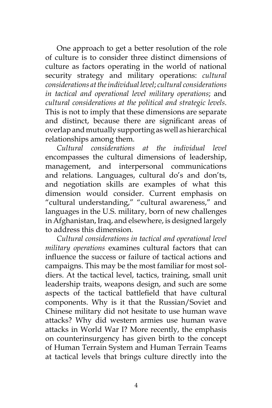One approach to get a better resolution of the role of culture is to consider three distinct dimensions of culture as factors operating in the world of national security strategy and military operations: *cultural considerations at the individual level*; *cultural considerations in tactical and operational level military operations*; and *cultural considerations at the political and strategic levels*. This is not to imply that these dimensions are separate and distinct, because there are significant areas of overlap and mutually supporting as well as hierarchical relationships among them.

*Cultural considerations at the individual level* encompasses the cultural dimensions of leadership, management, and interpersonal communications and relations. Languages, cultural do's and don'ts, and negotiation skills are examples of what this dimension would consider. Current emphasis on "cultural understanding," "cultural awareness," and languages in the U.S. military, born of new challenges in Afghanistan, Iraq, and elsewhere, is designed largely to address this dimension.

*Cultural considerations in tactical and operational level military operations* examines cultural factors that can influence the success or failure of tactical actions and campaigns. This may be the most familiar for most soldiers. At the tactical level, tactics, training, small unit leadership traits, weapons design, and such are some aspects of the tactical battlefield that have cultural components. Why is it that the Russian/Soviet and Chinese military did not hesitate to use human wave attacks? Why did western armies use human wave attacks in World War I? More recently, the emphasis on counterinsurgency has given birth to the concept of Human Terrain System and Human Terrain Teams at tactical levels that brings culture directly into the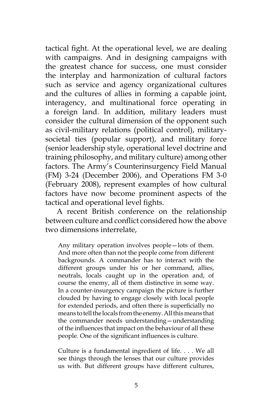tactical fight. At the operational level, we are dealing with campaigns. And in designing campaigns with the greatest chance for success, one must consider the interplay and harmonization of cultural factors such as service and agency organizational cultures and the cultures of allies in forming a capable joint, interagency, and multinational force operating in a foreign land. In addition, military leaders must consider the cultural dimension of the opponent such as civil-military relations (political control), militarysocietal ties (popular support), and military force (senior leadership style, operational level doctrine and training philosophy, and military culture) among other factors. The Army's Counterinsurgency Field Manual (FM) 3-24 (December 2006), and Operations FM 3-0 (February 2008), represent examples of how cultural factors have now become prominent aspects of the tactical and operational level fights.

A recent British conference on the relationship between culture and conflict considered how the above two dimensions interrelate,

Any military operation involves people—lots of them. And more often than not the people come from different backgrounds. A commander has to interact with the different groups under his or her command, allies, neutrals, locals caught up in the operation and, of course the enemy, all of them distinctive in some way. In a counter-insurgency campaign the picture is further clouded by having to engage closely with local people for extended periods, and often there is superficially no means to tell the locals from the enemy. All this means that the commander needs understanding—understanding of the influences that impact on the behaviour of all these people. One of the significant influences is culture.

Culture is a fundamental ingredient of life. . . . We all see things through the lenses that our culture provides us with. But different groups have different cultures,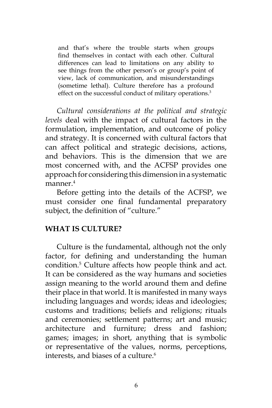and that's where the trouble starts when groups find themselves in contact with each other. Cultural differences can lead to limitations on any ability to see things from the other person's or group's point of view, lack of communication, and misunderstandings (sometime lethal). Culture therefore has a profound effect on the successful conduct of military operations.3

*Cultural considerations at the political and strategic levels* deal with the impact of cultural factors in the formulation, implementation, and outcome of policy and strategy. It is concerned with cultural factors that can affect political and strategic decisions, actions, and behaviors. This is the dimension that we are most concerned with, and the ACFSP provides one approach for considering this dimension in a systematic manner.<sup>4</sup>

Before getting into the details of the ACFSP, we must consider one final fundamental preparatory subject, the definition of "culture."

#### **WHAT IS CULTURE?**

Culture is the fundamental, although not the only factor, for defining and understanding the human condition.5 Culture affects how people think and act. It can be considered as the way humans and societies assign meaning to the world around them and define their place in that world. It is manifested in many ways including languages and words; ideas and ideologies; customs and traditions; beliefs and religions; rituals and ceremonies; settlement patterns; art and music; architecture and furniture; dress and fashion; games; images; in short, anything that is symbolic or representative of the values, norms, perceptions, interests, and biases of a culture.<sup>6</sup>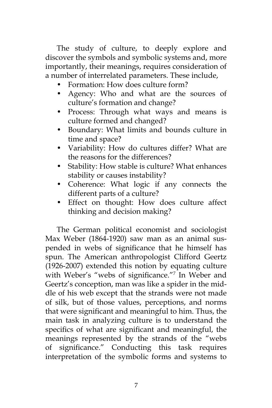The study of culture, to deeply explore and discover the symbols and symbolic systems and, more importantly, their meanings, requires consideration of a number of interrelated parameters. These include,

- Formation: How does culture form?
- Agency: Who and what are the sources of culture's formation and change?
- Process: Through what ways and means is culture formed and changed?
- Boundary: What limits and bounds culture in time and space?
- Variability: How do cultures differ? What are the reasons for the differences?
- Stability: How stable is culture? What enhances stability or causes instability?
- Coherence: What logic if any connects the different parts of a culture?
- Effect on thought: How does culture affect thinking and decision making?

The German political economist and sociologist Max Weber (1864-1920) saw man as an animal suspended in webs of significance that he himself has spun. The American anthropologist Clifford Geertz (1926-2007) extended this notion by equating culture with Weber's "webs of significance."<sup>7</sup> In Weber and Geertz's conception, man was like a spider in the middle of his web except that the strands were not made of silk, but of those values, perceptions, and norms that were significant and meaningful to him. Thus, the main task in analyzing culture is to understand the specifics of what are significant and meaningful, the meanings represented by the strands of the "webs of significance." Conducting this task requires interpretation of the symbolic forms and systems to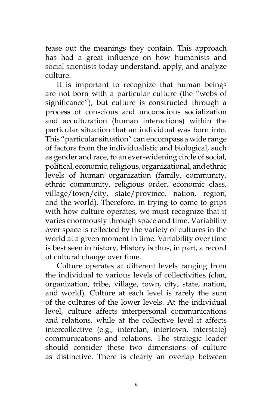tease out the meanings they contain. This approach has had a great influence on how humanists and social scientists today understand, apply, and analyze culture.

It is important to recognize that human beings are not born with a particular culture (the "webs of significance"), but culture is constructed through a process of conscious and unconscious socialization and acculturation (human interactions) within the particular situation that an individual was born into. This "particular situation" can encompass a wide range of factors from the individualistic and biological, such as gender and race, to an ever-widening circle of social, political, economic, religious, organizational, and ethnic levels of human organization (family, community, ethnic community, religious order, economic class, village/town/city, state/province, nation, region, and the world). Therefore, in trying to come to grips with how culture operates, we must recognize that it varies enormously through space and time. Variability over space is reflected by the variety of cultures in the world at a given moment in time. Variability over time is best seen in history. History is thus, in part, a record of cultural change over time.

Culture operates at different levels ranging from the individual to various levels of collectivities (clan, organization, tribe, village, town, city, state, nation, and world). Culture at each level is rarely the sum of the cultures of the lower levels. At the individual level, culture affects interpersonal communications and relations, while at the collective level it affects intercollective (e.g., interclan, intertown, interstate) communications and relations. The strategic leader should consider these two dimensions of culture as distinctive. There is clearly an overlap between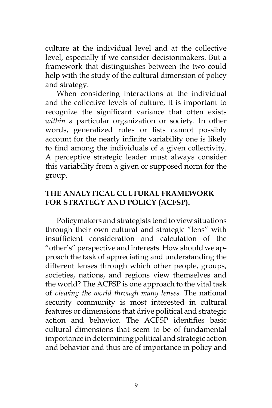culture at the individual level and at the collective level, especially if we consider decisionmakers. But a framework that distinguishes between the two could help with the study of the cultural dimension of policy and strategy.

When considering interactions at the individual and the collective levels of culture, it is important to recognize the significant variance that often exists *within* a particular organization or society. In other words, generalized rules or lists cannot possibly account for the nearly infinite variability one is likely to find among the individuals of a given collectivity. A perceptive strategic leader must always consider this variability from a given or supposed norm for the group.

## **THE ANALYTICAL CULTURAL FRAMEWORK FOR STRATEGY AND POLICY (ACFSP).**

Policymakers and strategists tend to view situations through their own cultural and strategic "lens" with insufficient consideration and calculation of the "other's" perspective and interests. How should we approach the task of appreciating and understanding the different lenses through which other people, groups, societies, nations, and regions view themselves and the world? The ACFSP is one approach to the vital task of *viewing the world through many lenses.* The national security community is most interested in cultural features or dimensions that drive political and strategic action and behavior. The ACFSP identifies basic cultural dimensions that seem to be of fundamental importance in determining political and strategic action and behavior and thus are of importance in policy and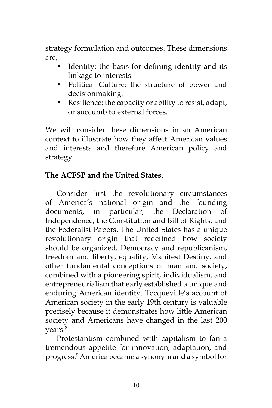strategy formulation and outcomes. These dimensions are,

- Identity: the basis for defining identity and its linkage to interests.
- Political Culture: the structure of power and decisionmaking.
- Resilience: the capacity or ability to resist, adapt, or succumb to external forces.

We will consider these dimensions in an American context to illustrate how they affect American values and interests and therefore American policy and strategy.

# **The ACFSP and the United States.**

Consider first the revolutionary circumstances of America's national origin and the founding documents, in particular, the Declaration of Independence, the Constitution and Bill of Rights, and the Federalist Papers. The United States has a unique revolutionary origin that redefined how society should be organized. Democracy and republicanism, freedom and liberty, equality, Manifest Destiny, and other fundamental conceptions of man and society, combined with a pioneering spirit, individualism, and entrepreneurialism that early established a unique and enduring American identity. Tocqueville's account of American society in the early 19th century is valuable precisely because it demonstrates how little American society and Americans have changed in the last 200 years.<sup>8</sup>

Protestantism combined with capitalism to fan a tremendous appetite for innovation, adaptation, and progress.9 America became a synonym and a symbol for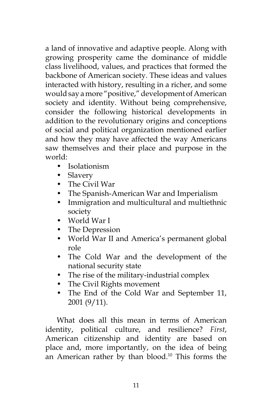a land of innovative and adaptive people. Along with growing prosperity came the dominance of middle class livelihood, values, and practices that formed the backbone of American society. These ideas and values interacted with history, resulting in a richer, and some would say a more "positive," development of American society and identity. Without being comprehensive, consider the following historical developments in addition to the revolutionary origins and conceptions of social and political organization mentioned earlier and how they may have affected the way Americans saw themselves and their place and purpose in the world:

- Isolationism
- Slavery
- The Civil War
- The Spanish-American War and Imperialism
- Immigration and multicultural and multiethnic society
- World War I
- The Depression
- World War II and America's permanent global role
- The Cold War and the development of the national security state
- The rise of the military-industrial complex
- The Civil Rights movement
- The End of the Cold War and September 11, 2001 (9/11).

What does all this mean in terms of American identity, political culture, and resilience? *First*, American citizenship and identity are based on place and, more importantly, on the idea of being an American rather by than blood.<sup>10</sup> This forms the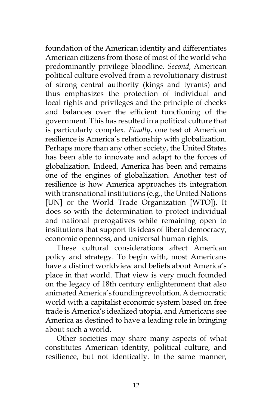foundation of the American identity and differentiates American citizens from those of most of the world who predominantly privilege bloodline. *Second*, American political culture evolved from a revolutionary distrust of strong central authority (kings and tyrants) and thus emphasizes the protection of individual and local rights and privileges and the principle of checks and balances over the efficient functioning of the government. This has resulted in a political culture that is particularly complex. *Finally*, one test of American resilience is America's relationship with globalization. Perhaps more than any other society, the United States has been able to innovate and adapt to the forces of globalization. Indeed, America has been and remains one of the engines of globalization. Another test of resilience is how America approaches its integration with transnational institutions (e.g., the United Nations [UN] or the World Trade Organization [WTO]). It does so with the determination to protect individual and national prerogatives while remaining open to institutions that support its ideas of liberal democracy, economic openness, and universal human rights.

These cultural considerations affect American policy and strategy. To begin with, most Americans have a distinct worldview and beliefs about America's place in that world. That view is very much founded on the legacy of 18th century enlightenment that also animated America's founding revolution. A democratic world with a capitalist economic system based on free trade is America's idealized utopia, and Americans see America as destined to have a leading role in bringing about such a world.

Other societies may share many aspects of what constitutes American identity, political culture, and resilience, but not identically. In the same manner,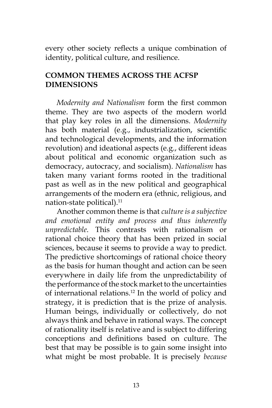every other society reflects a unique combination of identity, political culture, and resilience.

# **COMMON THEMES ACROSS THE ACFSP DIMENSIONS**

*Modernity and Nationalism* form the first common theme. They are two aspects of the modern world that play key roles in all the dimensions. *Modernity* has both material (e.g., industrialization, scientific and technological developments, and the information revolution) and ideational aspects (e.g., different ideas about political and economic organization such as democracy, autocracy, and socialism). *Nationalism* has taken many variant forms rooted in the traditional past as well as in the new political and geographical arrangements of the modern era (ethnic, religious, and nation-state political).<sup>11</sup>

Another common theme is that *culture is a subjective and emotional entity and process and thus inherently unpredictable*. This contrasts with rationalism or rational choice theory that has been prized in social sciences, because it seems to provide a way to predict. The predictive shortcomings of rational choice theory as the basis for human thought and action can be seen everywhere in daily life from the unpredictability of the performance of the stock market to the uncertainties of international relations.12 In the world of policy and strategy, it is prediction that is the prize of analysis. Human beings, individually or collectively, do not always think and behave in rational ways. The concept of rationality itself is relative and is subject to differing conceptions and definitions based on culture. The best that may be possible is to gain some insight into what might be most probable. It is precisely *because*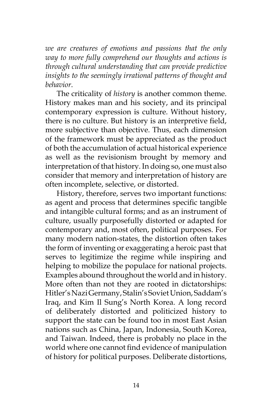*we are creatures of emotions and passions that the only way to more fully comprehend our thoughts and actions is through cultural understanding that can provide predictive insights to the seemingly irrational patterns of thought and behavior*.

The criticality of *history* is another common theme. History makes man and his society, and its principal contemporary expression is culture. Without history, there is no culture. But history is an interpretive field, more subjective than objective. Thus, each dimension of the framework must be appreciated as the product of both the accumulation of actual historical experience as well as the revisionism brought by memory and interpretation of that history. In doing so, one must also consider that memory and interpretation of history are often incomplete, selective, or distorted.

History, therefore, serves two important functions: as agent and process that determines specific tangible and intangible cultural forms; and as an instrument of culture, usually purposefully distorted or adapted for contemporary and, most often, political purposes. For many modern nation-states, the distortion often takes the form of inventing or exaggerating a heroic past that serves to legitimize the regime while inspiring and helping to mobilize the populace for national projects. Examples abound throughout the world and in history. More often than not they are rooted in dictatorships: Hitler's Nazi Germany, Stalin's Soviet Union, Saddam's Iraq, and Kim Il Sung's North Korea. A long record of deliberately distorted and politicized history to support the state can be found too in most East Asian nations such as China, Japan, Indonesia, South Korea, and Taiwan. Indeed, there is probably no place in the world where one cannot find evidence of manipulation of history for political purposes. Deliberate distortions,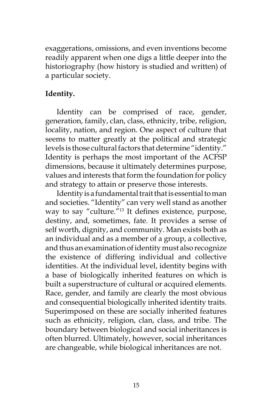exaggerations, omissions, and even inventions become readily apparent when one digs a little deeper into the historiography (how history is studied and written) of a particular society.

# **Identity.**

Identity can be comprised of race, gender, generation, family, clan, class, ethnicity, tribe, religion, locality, nation, and region. One aspect of culture that seems to matter greatly at the political and strategic levels is those cultural factors that determine "identity." Identity is perhaps the most important of the ACFSP dimensions, because it ultimately determines purpose, values and interests that form the foundation for policy and strategy to attain or preserve those interests.

Identity is a fundamental trait that is essential to man and societies. "Identity" can very well stand as another way to say "culture."13 It defines existence, purpose, destiny, and, sometimes, fate. It provides a sense of self worth, dignity, and community. Man exists both as an individual and as a member of a group, a collective, and thus an examination of identity must also recognize the existence of differing individual and collective identities. At the individual level, identity begins with a base of biologically inherited features on which is built a superstructure of cultural or acquired elements. Race, gender, and family are clearly the most obvious and consequential biologically inherited identity traits. Superimposed on these are socially inherited features such as ethnicity, religion, clan, class, and tribe. The boundary between biological and social inheritances is often blurred. Ultimately, however, social inheritances are changeable, while biological inheritances are not.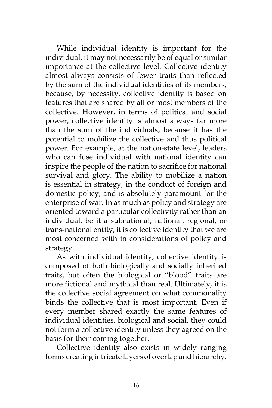While individual identity is important for the individual, it may not necessarily be of equal or similar importance at the collective level. Collective identity almost always consists of fewer traits than reflected by the sum of the individual identities of its members, because, by necessity, collective identity is based on features that are shared by all or most members of the collective. However, in terms of political and social power, collective identity is almost always far more than the sum of the individuals, because it has the potential to mobilize the collective and thus political power. For example, at the nation-state level, leaders who can fuse individual with national identity can inspire the people of the nation to sacrifice for national survival and glory. The ability to mobilize a nation is essential in strategy, in the conduct of foreign and domestic policy, and is absolutely paramount for the enterprise of war. In as much as policy and strategy are oriented toward a particular collectivity rather than an individual, be it a subnational, national, regional, or trans-national entity, it is collective identity that we are most concerned with in considerations of policy and strategy.

As with individual identity, collective identity is composed of both biologically and socially inherited traits, but often the biological or "blood" traits are more fictional and mythical than real. Ultimately, it is the collective social agreement on what commonality binds the collective that is most important. Even if every member shared exactly the same features of individual identities, biological and social, they could not form a collective identity unless they agreed on the basis for their coming together.

Collective identity also exists in widely ranging forms creating intricate layers of overlap and hierarchy.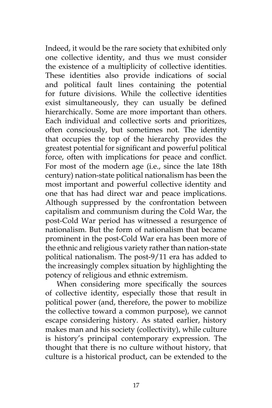Indeed, it would be the rare society that exhibited only one collective identity, and thus we must consider the existence of a multiplicity of collective identities. These identities also provide indications of social and political fault lines containing the potential for future divisions. While the collective identities exist simultaneously, they can usually be defined hierarchically. Some are more important than others. Each individual and collective sorts and prioritizes, often consciously, but sometimes not. The identity that occupies the top of the hierarchy provides the greatest potential for significant and powerful political force, often with implications for peace and conflict. For most of the modern age (i.e., since the late 18th century) nation-state political nationalism has been the most important and powerful collective identity and one that has had direct war and peace implications. Although suppressed by the confrontation between capitalism and communism during the Cold War, the post-Cold War period has witnessed a resurgence of nationalism. But the form of nationalism that became prominent in the post-Cold War era has been more of the ethnic and religious variety rather than nation-state political nationalism. The post-9/11 era has added to the increasingly complex situation by highlighting the potency of religious and ethnic extremism.

When considering more specifically the sources of collective identity, especially those that result in political power (and, therefore, the power to mobilize the collective toward a common purpose), we cannot escape considering history. As stated earlier, history makes man and his society (collectivity), while culture is history's principal contemporary expression. The thought that there is no culture without history, that culture is a historical product, can be extended to the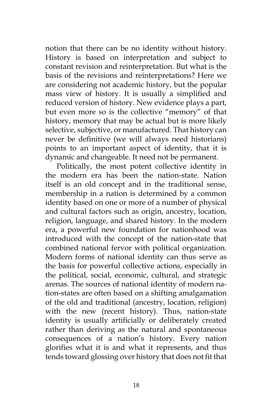notion that there can be no identity without history. History is based on interpretation and subject to constant revision and reinterpretation. But what is the basis of the revisions and reinterpretations? Here we are considering not academic history, but the popular mass view of history. It is usually a simplified and reduced version of history. New evidence plays a part, but even more so is the collective "memory" of that history, memory that may be actual but is more likely selective, subjective, or manufactured. That history can never be definitive (we will always need historians) points to an important aspect of identity, that it is dynamic and changeable. It need not be permanent.

Politically, the most potent collective identity in the modern era has been the nation-state. Nation itself is an old concept and in the traditional sense, membership in a nation is determined by a common identity based on one or more of a number of physical and cultural factors such as origin, ancestry, location, religion, language, and shared history. In the modern era, a powerful new foundation for nationhood was introduced with the concept of the nation-state that combined national fervor with political organization. Modern forms of national identity can thus serve as the basis for powerful collective actions, especially in the political, social, economic, cultural, and strategic arenas. The sources of national identity of modern nation-states are often based on a shifting amalgamation of the old and traditional (ancestry, location, religion) with the new (recent history). Thus, nation-state identity is usually artificially or deliberately created rather than deriving as the natural and spontaneous consequences of a nation's history. Every nation glorifies what it is and what it represents, and thus tends toward glossing over history that does not fit that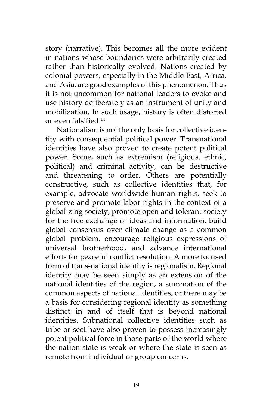story (narrative). This becomes all the more evident in nations whose boundaries were arbitrarily created rather than historically evolved. Nations created by colonial powers, especially in the Middle East, Africa, and Asia, are good examples of this phenomenon. Thus it is not uncommon for national leaders to evoke and use history deliberately as an instrument of unity and mobilization. In such usage, history is often distorted or even falsified.<sup>14</sup>

Nationalism is not the only basis for collective identity with consequential political power. Transnational identities have also proven to create potent political power. Some, such as extremism (religious, ethnic, political) and criminal activity, can be destructive and threatening to order. Others are potentially constructive, such as collective identities that, for example, advocate worldwide human rights, seek to preserve and promote labor rights in the context of a globalizing society, promote open and tolerant society for the free exchange of ideas and information, build global consensus over climate change as a common global problem, encourage religious expressions of universal brotherhood, and advance international efforts for peaceful conflict resolution. A more focused form of trans-national identity is regionalism. Regional identity may be seen simply as an extension of the national identities of the region, a summation of the common aspects of national identities, or there may be a basis for considering regional identity as something distinct in and of itself that is beyond national identities. Subnational collective identities such as tribe or sect have also proven to possess increasingly potent political force in those parts of the world where the nation-state is weak or where the state is seen as remote from individual or group concerns.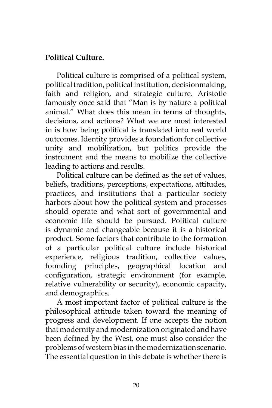# **Political Culture.**

Political culture is comprised of a political system, political tradition, political institution, decisionmaking, faith and religion, and strategic culture. Aristotle famously once said that "Man is by nature a political animal." What does this mean in terms of thoughts, decisions, and actions? What we are most interested in is how being political is translated into real world outcomes. Identity provides a foundation for collective unity and mobilization, but politics provide the instrument and the means to mobilize the collective leading to actions and results.

Political culture can be defined as the set of values, beliefs, traditions, perceptions, expectations, attitudes, practices, and institutions that a particular society harbors about how the political system and processes should operate and what sort of governmental and economic life should be pursued. Political culture is dynamic and changeable because it is a historical product. Some factors that contribute to the formation of a particular political culture include historical experience, religious tradition, collective values, founding principles, geographical location and configuration, strategic environment (for example, relative vulnerability or security), economic capacity, and demographics.

A most important factor of political culture is the philosophical attitude taken toward the meaning of progress and development. If one accepts the notion that modernity and modernization originated and have been defined by the West, one must also consider the problems of western bias in the modernization scenario. The essential question in this debate is whether there is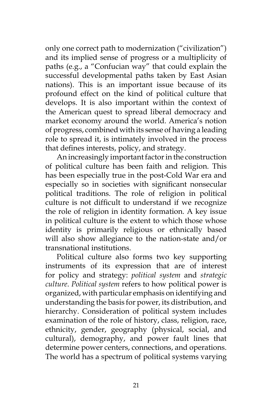only one correct path to modernization ("civilization") and its implied sense of progress or a multiplicity of paths (e.g., a "Confucian way" that could explain the successful developmental paths taken by East Asian nations). This is an important issue because of its profound effect on the kind of political culture that develops. It is also important within the context of the American quest to spread liberal democracy and market economy around the world. America's notion of progress, combined with its sense of having a leading role to spread it, is intimately involved in the process that defines interests, policy, and strategy.

An increasingly important factor in the construction of political culture has been faith and religion. This has been especially true in the post-Cold War era and especially so in societies with significant nonsecular political traditions. The role of religion in political culture is not difficult to understand if we recognize the role of religion in identity formation. A key issue in political culture is the extent to which those whose identity is primarily religious or ethnically based will also show allegiance to the nation-state and/or transnational institutions.

Political culture also forms two key supporting instruments of its expression that are of interest for policy and strategy: *political system* and *strategic culture*. *Political system* refers to how political power is organized, with particular emphasis on identifying and understanding the basis for power, its distribution, and hierarchy. Consideration of political system includes examination of the role of history, class, religion, race, ethnicity, gender, geography (physical, social, and cultural), demography, and power fault lines that determine power centers, connections, and operations. The world has a spectrum of political systems varying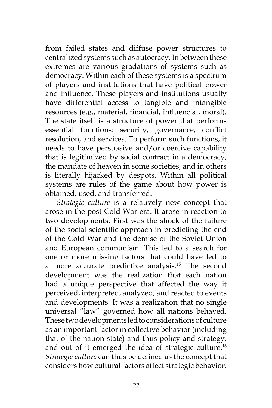from failed states and diffuse power structures to centralized systems such as autocracy. In between these extremes are various gradations of systems such as democracy. Within each of these systems is a spectrum of players and institutions that have political power and influence. These players and institutions usually have differential access to tangible and intangible resources (e.g., material, financial, influencial, moral). The state itself is a structure of power that performs essential functions: security, governance, conflict resolution, and services. To perform such functions, it needs to have persuasive and/or coercive capability that is legitimized by social contract in a democracy, the mandate of heaven in some societies, and in others is literally hijacked by despots. Within all political systems are rules of the game about how power is obtained, used, and transferred.

*Strategic culture* is a relatively new concept that arose in the post-Cold War era. It arose in reaction to two developments. First was the shock of the failure of the social scientific approach in predicting the end of the Cold War and the demise of the Soviet Union and European communism. This led to a search for one or more missing factors that could have led to a more accurate predictive analysis.<sup>15</sup> The second development was the realization that each nation had a unique perspective that affected the way it perceived, interpreted, analyzed, and reacted to events and developments. It was a realization that no single universal "law" governed how all nations behaved. These two developments led to considerations of culture as an important factor in collective behavior (including that of the nation-state) and thus policy and strategy, and out of it emerged the idea of strategic culture.16 *Strategic culture* can thus be defined as the concept that considers how cultural factors affect strategic behavior.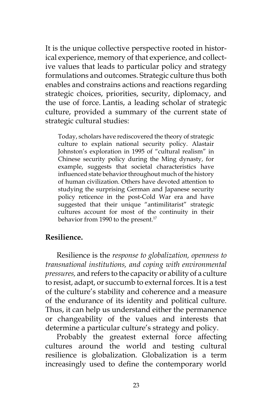It is the unique collective perspective rooted in historical experience, memory of that experience, and collective values that leads to particular policy and strategy formulations and outcomes. Strategic culture thus both enables and constrains actions and reactions regarding strategic choices, priorities, security, diplomacy, and the use of force. Lantis, a leading scholar of strategic culture, provided a summary of the current state of strategic cultural studies:

Today, scholars have rediscovered the theory of strategic culture to explain national security policy. Alastair Johnston's exploration in 1995 of "cultural realism" in Chinese security policy during the Ming dynasty, for example, suggests that societal characteristics have influenced state behavior throughout much of the history of human civilization. Others have devoted attention to studying the surprising German and Japanese security policy reticence in the post-Cold War era and have suggested that their unique "antimilitarist" strategic cultures account for most of the continuity in their behavior from 1990 to the present.<sup>17</sup>

# **Resilience.**

Resilience is the *response to globalization, openness to transnational institutions, and coping with environmental pressures,* and refers to the capacity or ability of a culture to resist, adapt, or succumb to external forces. It is a test of the culture's stability and coherence and a measure of the endurance of its identity and political culture. Thus, it can help us understand either the permanence or changeability of the values and interests that determine a particular culture's strategy and policy.

Probably the greatest external force affecting cultures around the world and testing cultural resilience is globalization. Globalization is a term increasingly used to define the contemporary world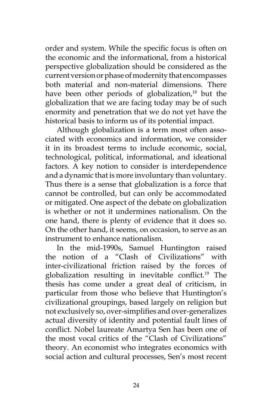order and system. While the specific focus is often on the economic and the informational, from a historical perspective globalization should be considered as the current version or phase of modernity that encompasses both material and non-material dimensions. There have been other periods of globalization,<sup>18</sup> but the globalization that we are facing today may be of such enormity and penetration that we do not yet have the historical basis to inform us of its potential impact.

Although globalization is a term most often associated with economics and information, we consider it in its broadest terms to include economic, social, technological, political, informational, and ideational factors. A key notion to consider is interdependence and a dynamic that is more involuntary than voluntary. Thus there is a sense that globalization is a force that cannot be controlled, but can only be accommodated or mitigated. One aspect of the debate on globalization is whether or not it undermines nationalism. On the one hand, there is plenty of evidence that it does so. On the other hand, it seems, on occasion, to serve as an instrument to enhance nationalism.

In the mid-1990s, Samuel Huntington raised the notion of a "Clash of Civilizations" with inter-civilizational friction raised by the forces of globalization resulting in inevitable conflict.19 The thesis has come under a great deal of criticism, in particular from those who believe that Huntington's civilizational groupings, based largely on religion but not exclusively so, over-simplifies and over-generalizes actual diversity of identity and potential fault lines of conflict. Nobel laureate Amartya Sen has been one of the most vocal critics of the "Clash of Civilizations" theory. An economist who integrates economics with social action and cultural processes, Sen's most recent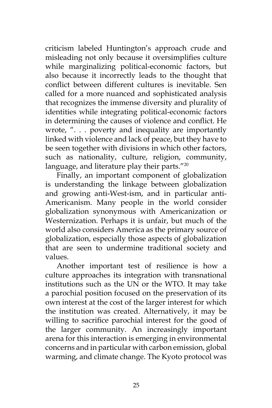criticism labeled Huntington's approach crude and misleading not only because it oversimplifies culture while marginalizing political-economic factors, but also because it incorrectly leads to the thought that conflict between different cultures is inevitable. Sen called for a more nuanced and sophisticated analysis that recognizes the immense diversity and plurality of identities while integrating political-economic factors in determining the causes of violence and conflict. He wrote, ". . . poverty and inequality are importantly linked with violence and lack of peace, but they have to be seen together with divisions in which other factors, such as nationality, culture, religion, community, language, and literature play their parts."<sup>20</sup>

Finally, an important component of globalization is understanding the linkage between globalization and growing anti-West-ism, and in particular anti-Americanism. Many people in the world consider globalization synonymous with Americanization or Westernization. Perhaps it is unfair, but much of the world also considers America as the primary source of globalization, especially those aspects of globalization that are seen to undermine traditional society and values.

Another important test of resilience is how a culture approaches its integration with transnational institutions such as the UN or the WTO. It may take a parochial position focused on the preservation of its own interest at the cost of the larger interest for which the institution was created. Alternatively, it may be willing to sacrifice parochial interest for the good of the larger community. An increasingly important arena for this interaction is emerging in environmental concerns and in particular with carbon emission, global warming, and climate change. The Kyoto protocol was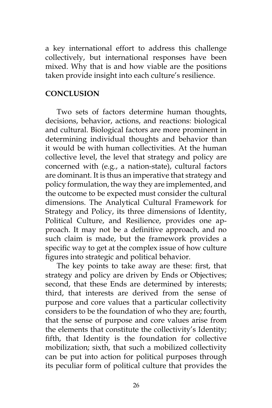a key international effort to address this challenge collectively, but international responses have been mixed. Why that is and how viable are the positions taken provide insight into each culture's resilience.

### **CONCLUSION**

Two sets of factors determine human thoughts, decisions, behavior, actions, and reactions: biological and cultural. Biological factors are more prominent in determining individual thoughts and behavior than it would be with human collectivities. At the human collective level, the level that strategy and policy are concerned with (e.g., a nation-state), cultural factors are dominant. It is thus an imperative that strategy and policy formulation, the way they are implemented, and the outcome to be expected must consider the cultural dimensions. The Analytical Cultural Framework for Strategy and Policy, its three dimensions of Identity, Political Culture, and Resilience, provides one approach. It may not be a definitive approach, and no such claim is made, but the framework provides a specific way to get at the complex issue of how culture figures into strategic and political behavior.

The key points to take away are these: first, that strategy and policy are driven by Ends or Objectives; second, that these Ends are determined by interests; third, that interests are derived from the sense of purpose and core values that a particular collectivity considers to be the foundation of who they are; fourth, that the sense of purpose and core values arise from the elements that constitute the collectivity's Identity; fifth, that Identity is the foundation for collective mobilization; sixth, that such a mobilized collectivity can be put into action for political purposes through its peculiar form of political culture that provides the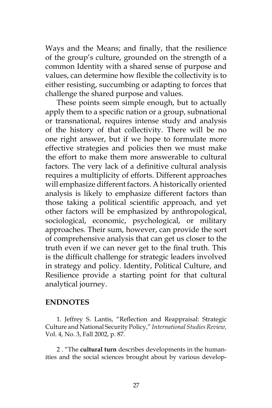Ways and the Means; and finally, that the resilience of the group's culture, grounded on the strength of a common Identity with a shared sense of purpose and values, can determine how flexible the collectivity is to either resisting, succumbing or adapting to forces that challenge the shared purpose and values.

These points seem simple enough, but to actually apply them to a specific nation or a group, subnational or transnational, requires intense study and analysis of the history of that collectivity. There will be no one right answer, but if we hope to formulate more effective strategies and policies then we must make the effort to make them more answerable to cultural factors. The very lack of a definitive cultural analysis requires a multiplicity of efforts. Different approaches will emphasize different factors. A historically oriented analysis is likely to emphasize different factors than those taking a political scientific approach, and yet other factors will be emphasized by anthropological, sociological, economic, psychological, or military approaches. Their sum, however, can provide the sort of comprehensive analysis that can get us closer to the truth even if we can never get to the final truth. This is the difficult challenge for strategic leaders involved in strategy and policy. Identity, Political Culture, and Resilience provide a starting point for that cultural analytical journey.

#### **ENDNOTES**

1. Jeffrey S. Lantis, "Reflection and Reappraisal: Strategic Culture and National Security Policy," *International Studies Review,* Vol. 4, No. 3, Fall 2002, p. 87.

2 . "The **cultural turn** describes developments in the humanities and the social sciences brought about by various develop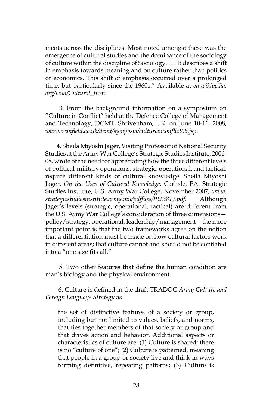ments across the disciplines. Most noted amongst these was the emergence of cultural studies and the dominance of the sociology of culture within the discipline of Sociology. . . . It describes a shift in emphasis towards meaning and on culture rather than politics or economics. This shift of emphasis occurred over a prolonged time, but particularly since the 1960s." Available at *en.wikipedia. org/wiki/Cultural\_turn.*

 3. From the background information on a symposium on "Culture in Conflict" held at the Defence College of Management and Technology, DCMT, Shrivenham, UK, on June 10-11, 2008, *www.cranfield.ac.uk/dcmt/symposia/cultureinconflict08.jsp.*

4. Sheila Miyoshi Jager, Visiting Professor of National Security Studies at the Army War College's Strategic Studies Institute, 2006- 08, wrote of the need for appreciating how the three different levels of political-military operations, strategic, operational, and tactical, require different kinds of cultural knowledge. Sheila Miyoshi Jager, *On the Uses of Cultural Knowledge,* Carlisle, PA: Strategic Studies Institute, U.S. Army War College, November 2007, *www. strategicstudiesinstitute.army.mil/pdffiles/PUB817.pdf.* Although Jager's levels (strategic, operational, tactical) are different from the U.S. Army War College's consideration of three dimensions policy/strategy, operational, leadership/management—the more important point is that the two frameworks agree on the notion that a differentiation must be made on how cultural factors work in different areas; that culture cannot and should not be conflated into a "one size fits all."

 5. Two other features that define the human condition are man's biology and the physical environment.

 6. Culture is defined in the draft TRADOC *Army Culture and Foreign Language Strategy* as

the set of distinctive features of a society or group, including but not limited to values, beliefs, and norms, that ties together members of that society or group and that drives action and behavior. Additional aspects or characteristics of culture are: (1) Culture is shared; there is no "culture of one"; (2) Culture is patterned, meaning that people in a group or society live and think in ways forming definitive, repeating patterns; (3) Culture is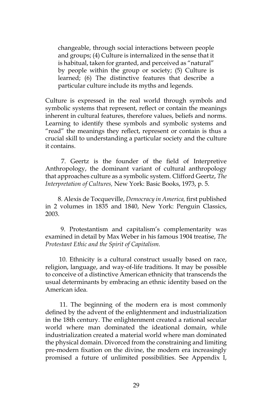changeable, through social interactions between people and groups; (4) Culture is internalized in the sense that it is habitual, taken for granted, and perceived as "natural" by people within the group or society; (5) Culture is learned; (6) The distinctive features that describe a particular culture include its myths and legends.

Culture is expressed in the real world through symbols and symbolic systems that represent, reflect or contain the meanings inherent in cultural features, therefore values, beliefs and norms. Learning to identify these symbols and symbolic systems and "read" the meanings they reflect, represent or contain is thus a crucial skill to understanding a particular society and the culture it contains.

 7. Geertz is the founder of the field of Interpretive Anthropology, the dominant variant of cultural anthropology that approaches culture as a symbolic system. Clifford Geertz, *The Interpretation of Cultures,* New York: Basic Books, 1973, p. 5.

 8. Alexis de Tocqueville, *Democracy in America,* first published in 2 volumes in 1835 and 1840, New York: Penguin Classics, 2003.

 9. Protestantism and capitalism's complementarity was examined in detail by Max Weber in his famous 1904 treatise, *The Protestant Ethic and the Spirit of Capitalism.*

 10. Ethnicity is a cultural construct usually based on race, religion, language, and way-of-life traditions. It may be possible to conceive of a distinctive American ethnicity that transcends the usual determinants by embracing an ethnic identity based on the American idea.

 11. The beginning of the modern era is most commonly defined by the advent of the enlightenment and industrialization in the 18th century. The enlightenment created a rational secular world where man dominated the ideational domain, while industrialization created a material world where man dominated the physical domain. Divorced from the constraining and limiting pre-modern fixation on the divine, the modern era increasingly promised a future of unlimited possibilities. See Appendix I,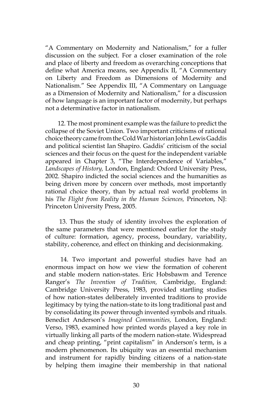"A Commentary on Modernity and Nationalism," for a fuller discussion on the subject. For a closer examination of the role and place of liberty and freedom as overarching conceptions that define what America means, see Appendix II, "A Commentary on Liberty and Freedom as Dimensions of Modernity and Nationalism." See Appendix III, "A Commentary on Language as a Dimension of Modernity and Nationalism," for a discussion of how language is an important factor of modernity, but perhaps not a determinative factor in nationalism.

 12. The most prominent example was the failure to predict the collapse of the Soviet Union. Two important criticisms of rational choice theory came from the Cold War historian John Lewis Gaddis and political scientist Ian Shapiro. Gaddis' criticism of the social sciences and their focus on the quest for the independent variable appeared in Chapter 3, "The Interdependence of Variables," *Landscapes of History,* London, England: Oxford University Press, 2002. Shapiro indicted the social sciences and the humanities as being driven more by concern over methods, most importantly rational choice theory, than by actual real world problems in his *The Flight from Reality in the Human Sciences,* Princeton, NJ: Princeton University Press, 2005.

 13. Thus the study of identity involves the exploration of the same parameters that were mentioned earlier for the study of culture: formation, agency, process, boundary, variability, stability, coherence, and effect on thinking and decisionmaking.

 14. Two important and powerful studies have had an enormous impact on how we view the formation of coherent and stable modern nation-states. Eric Hobsbawm and Terence Ranger's *The Invention of Tradition,* Cambridge, England: Cambridge University Press, 1983, provided startling studies of how nation-states deliberately invented traditions to provide legitimacy by tying the nation-state to its long traditional past and by consolidating its power through invented symbols and rituals. Benedict Anderson's *Imagined Communities,* London, England: Verso, 1983, examined how printed words played a key role in virtually linking all parts of the modern nation-state. Widespread and cheap printing, "print capitalism" in Anderson's term, is a modern phenomenon. Its ubiquity was an essential mechanism and instrument for rapidly binding citizens of a nation-state by helping them imagine their membership in that national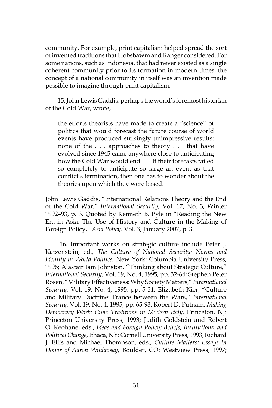community. For example, print capitalism helped spread the sort of invented traditions that Hobsbawm and Ranger considered. For some nations, such as Indonesia, that had never existed as a single coherent community prior to its formation in modern times, the concept of a national community in itself was an invention made possible to imagine through print capitalism.

 15. John Lewis Gaddis, perhaps the world's foremost historian of the Cold War, wrote,

the efforts theorists have made to create a "science" of politics that would forecast the future course of world events have produced strikingly unimpressive results: none of the . . . approaches to theory . . . that have evolved since 1945 came anywhere close to anticipating how the Cold War would end. . . . If their forecasts failed so completely to anticipate so large an event as that conflict's termination, then one has to wonder about the theories upon which they were based.

John Lewis Gaddis, "International Relations Theory and the End of the Cold War," *International Security,* Vol. 17, No. 3, Winter 1992–93, p. 3. Quoted by Kenneth B. Pyle in "Reading the New Era in Asia: The Use of History and Culture in the Making of Foreign Policy," *Asia Policy,* Vol. 3, January 2007, p. 3.

 16. Important works on strategic culture include Peter J. Katzenstein, ed., *The Culture of National Security: Norms and Identity in World Politics,* New York: Columbia University Press, 1996; Alastair Iain Johnston, "Thinking about Strategic Culture," *International Security,* Vol. 19, No. 4, 1995, pp. 32-64; Stephen Peter Rosen, "Military Effectiveness: Why Society Matters," *International Security,* Vol. 19, No. 4, 1995, pp. 5-31; Elizabeth Kier, "Culture and Military Doctrine: France between the Wars," *International Security,* Vol. 19, No. 4, 1995, pp. 65-93; Robert D. Putnam, *Making Democracy Work: Civic Traditions in Modern Italy*, Princeton, NJ: Princeton University Press, 1993; Judith Goldstein and Robert O. Keohane, eds., *Ideas and Foreign Policy: Beliefs, Institutions, and Political Change,* Ithaca, NY: Cornell University Press, 1993; Richard J. Ellis and Michael Thompson, eds., *Culture Matters: Essays in Honor of Aaron Wildavsky,* Boulder, CO: Westview Press, 1997;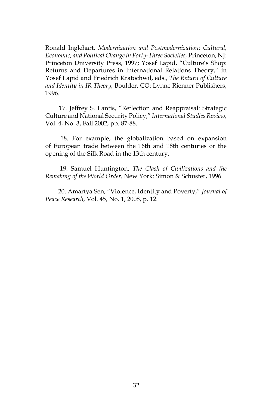Ronald Inglehart, *Modernization and Postmodernization: Cultural, Economic, and Political Change in Forty-Three Societies,* Princeton, NJ: Princeton University Press, 1997; Yosef Lapid, "Culture's Shop: Returns and Departures in International Relations Theory," in Yosef Lapid and Friedrich Kratochwil, eds., *The Return of Culture and Identity in IR Theory,* Boulder, CO: Lynne Rienner Publishers, 1996.

 17. Jeffrey S. Lantis, "Reflection and Reappraisal: Strategic Culture and National Security Policy," *International Studies Review,* Vol. 4, No. 3, Fall 2002, pp. 87-88.

 18. For example, the globalization based on expansion of European trade between the 16th and 18th centuries or the opening of the Silk Road in the 13th century.

 19. Samuel Huntington, *The Clash of Civilizations and the Remaking of the World Order,* New York: Simon & Schuster, 1996.

 20. Amartya Sen, "Violence, Identity and Poverty," *Journal of Peace Research,* Vol. 45, No. 1, 2008, p. 12.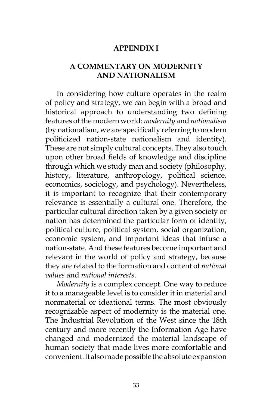#### **APPENDIX I**

### **A COMMENTARY ON MODERNITY AND NATIONALISM**

In considering how culture operates in the realm of policy and strategy, we can begin with a broad and historical approach to understanding two defining features of the modern world: *modernity* and *nationalism* (by nationalism, we are specifically referring to modern politicized nation-state nationalism and identity). These are not simply cultural concepts. They also touch upon other broad fields of knowledge and discipline through which we study man and society (philosophy, history, literature, anthropology, political science, economics, sociology, and psychology). Nevertheless, it is important to recognize that their contemporary relevance is essentially a cultural one. Therefore, the particular cultural direction taken by a given society or nation has determined the particular form of identity, political culture, political system, social organization, economic system, and important ideas that infuse a nation-state. And these features become important and relevant in the world of policy and strategy, because they are related to the formation and content of *national values* and *national interests*.

*Modernity* is a complex concept. One way to reduce it to a manageable level is to consider it in material and nonmaterial or ideational terms. The most obviously recognizable aspect of modernity is the material one. The Industrial Revolution of the West since the 18th century and more recently the Information Age have changed and modernized the material landscape of human society that made lives more comfortable and convenient. It also made possible the absolute expansion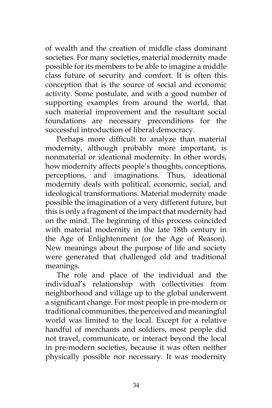of wealth and the creation of middle class dominant societies. For many societies, material modernity made possible for its members to be able to imagine a middle class future of security and comfort. It is often this conception that is the source of social and economic activity. Some postulate, and with a good number of supporting examples from around the world, that such material improvement and the resultant social foundations are necessary preconditions for the successful introduction of liberal democracy.

Perhaps more difficult to analyze than material modernity, although probably more important, is nonmaterial or ideational modernity. In other words, how modernity affects people's thoughts, conceptions, perceptions, and imaginations. Thus, ideational modernity deals with political, economic, social, and ideological transformations. Material modernity made possible the imagination of a very different future, but this is only a fragment of the impact that modernity had on the mind. The beginning of this process coincided with material modernity in the late 18th century in the Age of Enlightenment (or the Age of Reason). New meanings about the purpose of life and society were generated that challenged old and traditional meanings.

The role and place of the individual and the individual's relationship with collectivities from neighborhood and village up to the global underwent a significant change. For most people in pre-modern or traditional communities, the perceived and meaningful world was limited to the local. Except for a relative handful of merchants and soldiers, most people did not travel, communicate, or interact beyond the local in pre-modern societies, because it was often neither physically possible nor necessary. It was modernity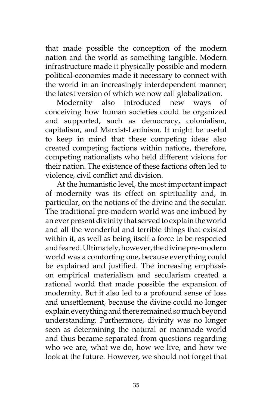that made possible the conception of the modern nation and the world as something tangible. Modern infrastructure made it physically possible and modern political-economies made it necessary to connect with the world in an increasingly interdependent manner; the latest version of which we now call globalization.

Modernity also introduced new ways of conceiving how human societies could be organized and supported, such as democracy, colonialism, capitalism, and Marxist-Leninism. It might be useful to keep in mind that these competing ideas also created competing factions within nations, therefore, competing nationalists who held different visions for their nation. The existence of these factions often led to violence, civil conflict and division.

At the humanistic level, the most important impact of modernity was its effect on spirituality and, in particular, on the notions of the divine and the secular. The traditional pre-modern world was one imbued by an ever present divinity that served to explain the world and all the wonderful and terrible things that existed within it, as well as being itself a force to be respected and feared. Ultimately, however, the divine pre-modern world was a comforting one, because everything could be explained and justified. The increasing emphasis on empirical materialism and secularism created a rational world that made possible the expansion of modernity. But it also led to a profound sense of loss and unsettlement, because the divine could no longer explain everything and there remained so much beyond understanding. Furthermore, divinity was no longer seen as determining the natural or manmade world and thus became separated from questions regarding who we are, what we do, how we live, and how we look at the future. However, we should not forget that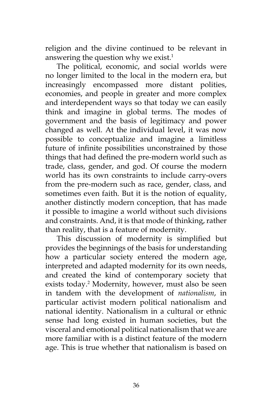religion and the divine continued to be relevant in answering the question why we exist.<sup>1</sup>

The political, economic, and social worlds were no longer limited to the local in the modern era, but increasingly encompassed more distant polities, economies, and people in greater and more complex and interdependent ways so that today we can easily think and imagine in global terms. The modes of government and the basis of legitimacy and power changed as well. At the individual level, it was now possible to conceptualize and imagine a limitless future of infinite possibilities unconstrained by those things that had defined the pre-modern world such as trade, class, gender, and god. Of course the modern world has its own constraints to include carry-overs from the pre-modern such as race, gender, class, and sometimes even faith. But it is the notion of equality, another distinctly modern conception, that has made it possible to imagine a world without such divisions and constraints. And, it is that mode of thinking, rather than reality, that is a feature of modernity.

This discussion of modernity is simplified but provides the beginnings of the basis for understanding how a particular society entered the modern age, interpreted and adapted modernity for its own needs, and created the kind of contemporary society that exists today.<sup>2</sup> Modernity, however, must also be seen in tandem with the development of *nationalism*, in particular activist modern political nationalism and national identity. Nationalism in a cultural or ethnic sense had long existed in human societies, but the visceral and emotional political nationalism that we are more familiar with is a distinct feature of the modern age. This is true whether that nationalism is based on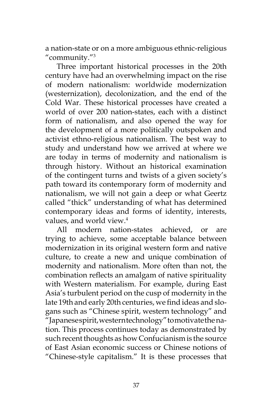a nation-state or on a more ambiguous ethnic-religious "community."3

Three important historical processes in the 20th century have had an overwhelming impact on the rise of modern nationalism: worldwide modernization (westernization), decolonization, and the end of the Cold War. These historical processes have created a world of over 200 nation-states, each with a distinct form of nationalism, and also opened the way for the development of a more politically outspoken and activist ethno-religious nationalism. The best way to study and understand how we arrived at where we are today in terms of modernity and nationalism is through history. Without an historical examination of the contingent turns and twists of a given society's path toward its contemporary form of modernity and nationalism, we will not gain a deep or what Geertz called "thick" understanding of what has determined contemporary ideas and forms of identity, interests, values, and world view.4

All modern nation-states achieved, or are trying to achieve, some acceptable balance between modernization in its original western form and native culture, to create a new and unique combination of modernity and nationalism. More often than not, the combination reflects an amalgam of native spirituality with Western materialism. For example, during East Asia's turbulent period on the cusp of modernity in the late 19th and early 20th centuries, we find ideas and slogans such as "Chinese spirit, western technology" and "Japanese spirit, western technology" to motivate the nation. This process continues today as demonstrated by such recent thoughts as how Confucianism is the source of East Asian economic success or Chinese notions of "Chinese-style capitalism." It is these processes that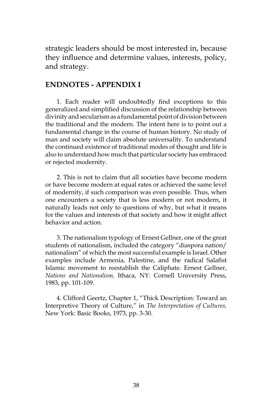strategic leaders should be most interested in, because they influence and determine values, interests, policy, and strategy.

#### **ENDNOTES - APPENDIX I**

1. Each reader will undoubtedly find exceptions to this generalized and simplified discussion of the relationship between divinity and secularism as a fundamental point of division between the traditional and the modern. The intent here is to point out a fundamental change in the course of human history. No study of man and society will claim absolute universality. To understand the continued existence of traditional modes of thought and life is also to understand how much that particular society has embraced or rejected modernity.

2. This is not to claim that all societies have become modern or have become modern at equal rates or achieved the same level of modernity, if such comparison was even possible. Thus, when one encounters a society that is less modern or not modern, it naturally leads not only to questions of why, but what it means for the values and interests of that society and how it might affect behavior and action.

3. The nationalism typology of Ernest Gellner, one of the great students of nationalism, included the category "diaspora nation/ nationalism" of which the most successful example is Israel. Other examples include Armenia, Palestine, and the radical Salafist Islamic movement to reestablish the Caliphate. Ernest Gellner, *Nations and Nationalism,* Ithaca, NY: Cornell University Press, 1983, pp. 101-109.

4. Clifford Geertz, Chapter 1, "Thick Description: Toward an Interpretive Theory of Culture," in *The Interpretation of Cultures,*  New York: Basic Books, 1973, pp. 3-30.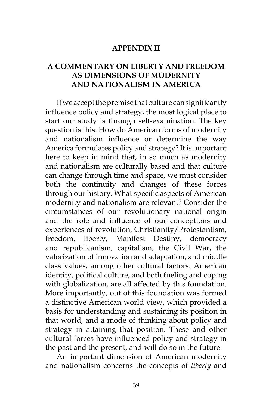#### **APPENDIX II**

### **A COMMENTARY ON LIBERTY AND FREEDOM AS DIMENSIONS OF MODERNITY AND NATIONALISM IN AMERICA**

If we accept the premise that culture can significantly influence policy and strategy, the most logical place to start our study is through self-examination. The key question is this: How do American forms of modernity and nationalism influence or determine the way America formulates policy and strategy? It is important here to keep in mind that, in so much as modernity and nationalism are culturally based and that culture can change through time and space, we must consider both the continuity and changes of these forces through our history. What specific aspects of American modernity and nationalism are relevant? Consider the circumstances of our revolutionary national origin and the role and influence of our conceptions and experiences of revolution, Christianity/Protestantism, freedom, liberty, Manifest Destiny, democracy and republicanism, capitalism, the Civil War, the valorization of innovation and adaptation, and middle class values, among other cultural factors. American identity, political culture, and both fueling and coping with globalization, are all affected by this foundation. More importantly, out of this foundation was formed a distinctive American world view, which provided a basis for understanding and sustaining its position in that world, and a mode of thinking about policy and strategy in attaining that position. These and other cultural forces have influenced policy and strategy in the past and the present, and will do so in the future.

An important dimension of American modernity and nationalism concerns the concepts of *liberty* and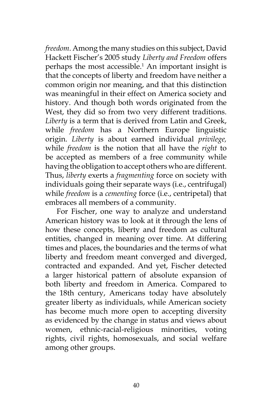*freedom*. Among the many studies on this subject, David Hackett Fischer's 2005 study *Liberty and Freedom* offers perhaps the most accessible.<sup>1</sup> An important insight is that the concepts of liberty and freedom have neither a common origin nor meaning, and that this distinction was meaningful in their effect on America society and history. And though both words originated from the West, they did so from two very different traditions. *Liberty* is a term that is derived from Latin and Greek, while *freedom* has a Northern Europe linguistic origin. *Liberty* is about earned individual *privilege,* while *freedom* is the notion that all have the *right* to be accepted as members of a free community while having the obligation to accept others who are different. Thus, *liberty* exerts a *fragmenting* force on society with individuals going their separate ways (i.e., centrifugal) while *freedom* is a *cementing* force (i.e., centripetal) that embraces all members of a community.

For Fischer, one way to analyze and understand American history was to look at it through the lens of how these concepts, liberty and freedom as cultural entities, changed in meaning over time. At differing times and places, the boundaries and the terms of what liberty and freedom meant converged and diverged, contracted and expanded. And yet, Fischer detected a larger historical pattern of absolute expansion of both liberty and freedom in America. Compared to the 18th century, Americans today have absolutely greater liberty as individuals, while American society has become much more open to accepting diversity as evidenced by the change in status and views about women, ethnic-racial-religious minorities, voting rights, civil rights, homosexuals, and social welfare among other groups.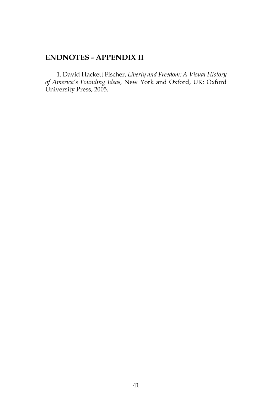# **ENDNOTES - APPENDIX II**

1. David Hackett Fischer, *Liberty and Freedom: A Visual History of America's Founding Ideas,* New York and Oxford, UK: Oxford University Press, 2005.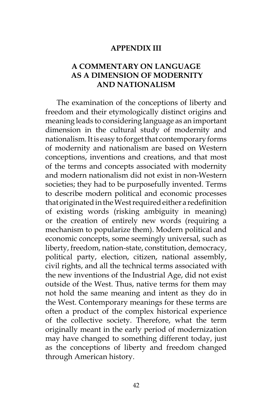#### **APPENDIX III**

### **A COMMENTARY ON LANGUAGE AS A DIMENSION OF MODERNITY AND NATIONALISM**

The examination of the conceptions of liberty and freedom and their etymologically distinct origins and meaning leads to considering language as an important dimension in the cultural study of modernity and nationalism. It is easy to forget that contemporary forms of modernity and nationalism are based on Western conceptions, inventions and creations, and that most of the terms and concepts associated with modernity and modern nationalism did not exist in non-Western societies; they had to be purposefully invented. Terms to describe modern political and economic processes that originated in the West required either a redefinition of existing words (risking ambiguity in meaning) or the creation of entirely new words (requiring a mechanism to popularize them). Modern political and economic concepts, some seemingly universal, such as liberty, freedom, nation-state, constitution, democracy, political party, election, citizen, national assembly, civil rights, and all the technical terms associated with the new inventions of the Industrial Age, did not exist outside of the West. Thus, native terms for them may not hold the same meaning and intent as they do in the West. Contemporary meanings for these terms are often a product of the complex historical experience of the collective society. Therefore, what the term originally meant in the early period of modernization may have changed to something different today, just as the conceptions of liberty and freedom changed through American history.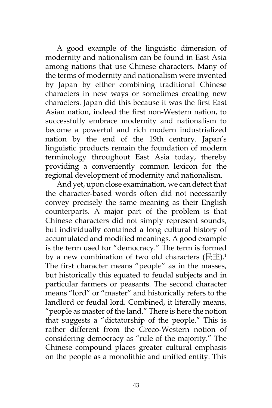A good example of the linguistic dimension of modernity and nationalism can be found in East Asia among nations that use Chinese characters. Many of the terms of modernity and nationalism were invented by Japan by either combining traditional Chinese characters in new ways or sometimes creating new characters. Japan did this because it was the first East Asian nation, indeed the first non-Western nation, to successfully embrace modernity and nationalism to become a powerful and rich modern industrialized nation by the end of the 19th century. Japan's linguistic products remain the foundation of modern terminology throughout East Asia today, thereby providing a conveniently common lexicon for the regional development of modernity and nationalism.

And yet, upon close examination, we can detect that the character-based words often did not necessarily convey precisely the same meaning as their English counterparts. A major part of the problem is that Chinese characters did not simply represent sounds, but individually contained a long cultural history of accumulated and modified meanings. A good example is the term used for "democracy." The term is formed by a new combination of two old characters  $(E \pm)$ .<sup>1</sup> The first character means "people" as in the masses, but historically this equated to feudal subjects and in particular farmers or peasants. The second character means "lord" or "master" and historically refers to the landlord or feudal lord. Combined, it literally means, "people as master of the land." There is here the notion that suggests a "dictatorship of the people." This is rather different from the Greco-Western notion of considering democracy as "rule of the majority." The Chinese compound places greater cultural emphasis on the people as a monolithic and unified entity. This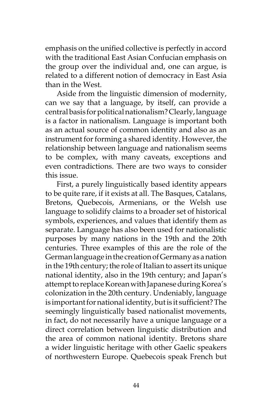emphasis on the unified collective is perfectly in accord with the traditional East Asian Confucian emphasis on the group over the individual and, one can argue, is related to a different notion of democracy in East Asia than in the West.

Aside from the linguistic dimension of modernity, can we say that a language, by itself, can provide a central basis for political nationalism? Clearly, language is a factor in nationalism. Language is important both as an actual source of common identity and also as an instrument for forming a shared identity. However, the relationship between language and nationalism seems to be complex, with many caveats, exceptions and even contradictions. There are two ways to consider this issue.

First, a purely linguistically based identity appears to be quite rare, if it exists at all. The Basques, Catalans, Bretons, Quebecois, Armenians, or the Welsh use language to solidify claims to a broader set of historical symbols, experiences, and values that identify them as separate. Language has also been used for nationalistic purposes by many nations in the 19th and the 20th centuries. Three examples of this are the role of the German language in the creation of Germany as a nation in the 19th century; the role of Italian to assert its unique national identity, also in the 19th century; and Japan's attempt to replace Korean with Japanese during Korea's colonization in the 20th century. Undeniably, language is important for national identity, but is it sufficient? The seemingly linguistically based nationalist movements, in fact, do not necessarily have a unique language or a direct correlation between linguistic distribution and the area of common national identity. Bretons share a wider linguistic heritage with other Gaelic speakers of northwestern Europe. Quebecois speak French but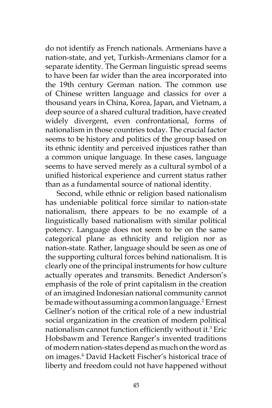do not identify as French nationals. Armenians have a nation-state, and yet, Turkish-Armenians clamor for a separate identity. The German linguistic spread seems to have been far wider than the area incorporated into the 19th century German nation. The common use of Chinese written language and classics for over a thousand years in China, Korea, Japan, and Vietnam, a deep source of a shared cultural tradition, have created widely divergent, even confrontational, forms of nationalism in those countries today. The crucial factor seems to be history and politics of the group based on its ethnic identity and perceived injustices rather than a common unique language. In these cases, language seems to have served merely as a cultural symbol of a unified historical experience and current status rather than as a fundamental source of national identity.

Second, while ethnic or religion based nationalism has undeniable political force similar to nation-state nationalism, there appears to be no example of a linguistically based nationalism with similar political potency. Language does not seem to be on the same categorical plane as ethnicity and religion nor as nation-state. Rather, language should be seen as one of the supporting cultural forces behind nationalism. It is clearly one of the principal instruments for how culture actually operates and transmits. Benedict Anderson's emphasis of the role of print capitalism in the creation of an imagined Indonesian national community cannot be made without assuming a common language.2 Ernest Gellner's notion of the critical role of a new industrial social organization in the creation of modern political nationalism cannot function efficiently without it.<sup>3</sup> Eric Hobsbawm and Terence Ranger's invented traditions of modern nation-states depend as much on the word as on images.4 David Hackett Fischer's historical trace of liberty and freedom could not have happened without